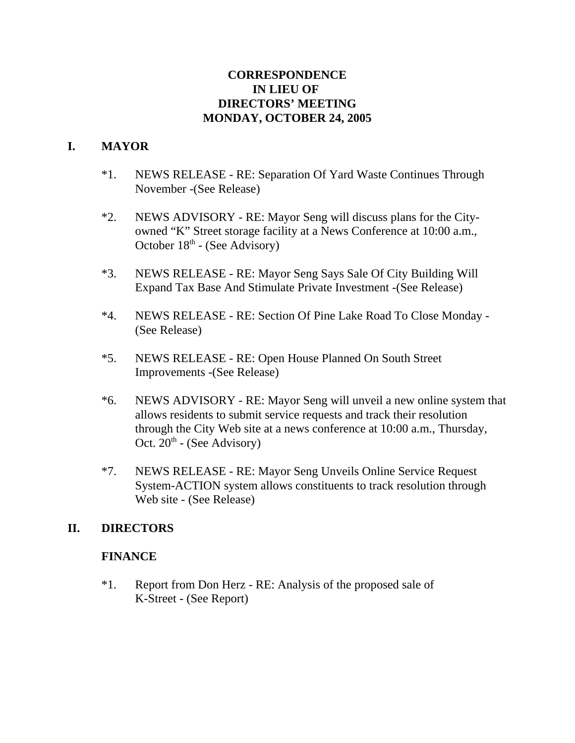## **CORRESPONDENCE IN LIEU OF DIRECTORS' MEETING MONDAY, OCTOBER 24, 2005**

# **I. MAYOR**

- \*1. NEWS RELEASE RE: Separation Of Yard Waste Continues Through November -(See Release)
- \*2. NEWS ADVISORY RE: Mayor Seng will discuss plans for the Cityowned "K" Street storage facility at a News Conference at 10:00 a.m., October  $18<sup>th</sup>$  - (See Advisory)
- \*3. NEWS RELEASE RE: Mayor Seng Says Sale Of City Building Will Expand Tax Base And Stimulate Private Investment -(See Release)
- \*4. NEWS RELEASE RE: Section Of Pine Lake Road To Close Monday (See Release)
- \*5. NEWS RELEASE RE: Open House Planned On South Street Improvements -(See Release)
- \*6. NEWS ADVISORY RE: Mayor Seng will unveil a new online system that allows residents to submit service requests and track their resolution through the City Web site at a news conference at 10:00 a.m., Thursday, Oct.  $20<sup>th</sup>$  - (See Advisory)
- \*7. NEWS RELEASE RE: Mayor Seng Unveils Online Service Request System-ACTION system allows constituents to track resolution through Web site - (See Release)

## **II. DIRECTORS**

## **FINANCE**

\*1. Report from Don Herz - RE: Analysis of the proposed sale of K-Street - (See Report)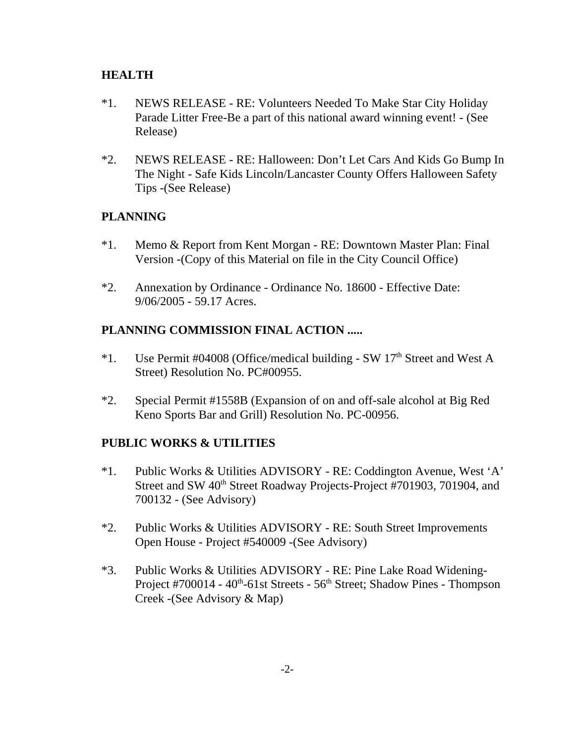#### **HEALTH**

- \*1. NEWS RELEASE RE: Volunteers Needed To Make Star City Holiday Parade Litter Free-Be a part of this national award winning event! - (See Release)
- \*2. NEWS RELEASE RE: Halloween: Don't Let Cars And Kids Go Bump In The Night - Safe Kids Lincoln/Lancaster County Offers Halloween Safety Tips -(See Release)

## **PLANNING**

- \*1. Memo & Report from Kent Morgan RE: Downtown Master Plan: Final Version -(Copy of this Material on file in the City Council Office)
- \*2. Annexation by Ordinance Ordinance No. 18600 Effective Date: 9/06/2005 - 59.17 Acres.

## **PLANNING COMMISSION FINAL ACTION .....**

- \*1. Use Permit #04008 (Office/medical building SW  $17<sup>th</sup>$  Street and West A Street) Resolution No. PC#00955.
- \*2. Special Permit #1558B (Expansion of on and off-sale alcohol at Big Red Keno Sports Bar and Grill) Resolution No. PC-00956.

## **PUBLIC WORKS & UTILITIES**

- \*1. Public Works & Utilities ADVISORY RE: Coddington Avenue, West 'A' Street and SW 40<sup>th</sup> Street Roadway Projects-Project #701903, 701904, and 700132 - (See Advisory)
- \*2. Public Works & Utilities ADVISORY RE: South Street Improvements Open House - Project #540009 -(See Advisory)
- \*3. Public Works & Utilities ADVISORY RE: Pine Lake Road Widening-Project  $\#700014 - 40$ <sup>th</sup>-61st Streets - 56<sup>th</sup> Street; Shadow Pines - Thompson Creek -(See Advisory & Map)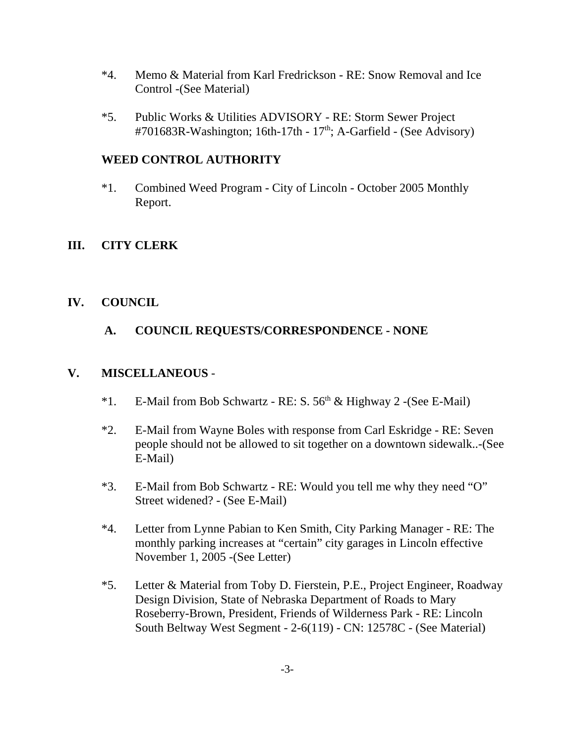- \*4. Memo & Material from Karl Fredrickson RE: Snow Removal and Ice Control -(See Material)
- \*5. Public Works & Utilities ADVISORY RE: Storm Sewer Project #701683R-Washington; 16th-17th -  $17<sup>th</sup>$ ; A-Garfield - (See Advisory)

## **WEED CONTROL AUTHORITY**

\*1. Combined Weed Program - City of Lincoln - October 2005 Monthly Report.

## **III. CITY CLERK**

## **IV. COUNCIL**

# **A. COUNCIL REQUESTS/CORRESPONDENCE - NONE**

#### **V. MISCELLANEOUS** -

- \*1. E-Mail from Bob Schwartz RE: S.  $56<sup>th</sup>$  & Highway 2 -(See E-Mail)
- \*2. E-Mail from Wayne Boles with response from Carl Eskridge RE: Seven people should not be allowed to sit together on a downtown sidewalk..-(See E-Mail)
- \*3. E-Mail from Bob Schwartz RE: Would you tell me why they need "O" Street widened? - (See E-Mail)
- \*4. Letter from Lynne Pabian to Ken Smith, City Parking Manager RE: The monthly parking increases at "certain" city garages in Lincoln effective November 1, 2005 -(See Letter)
- \*5. Letter & Material from Toby D. Fierstein, P.E., Project Engineer, Roadway Design Division, State of Nebraska Department of Roads to Mary Roseberry-Brown, President, Friends of Wilderness Park - RE: Lincoln South Beltway West Segment - 2-6(119) - CN: 12578C - (See Material)